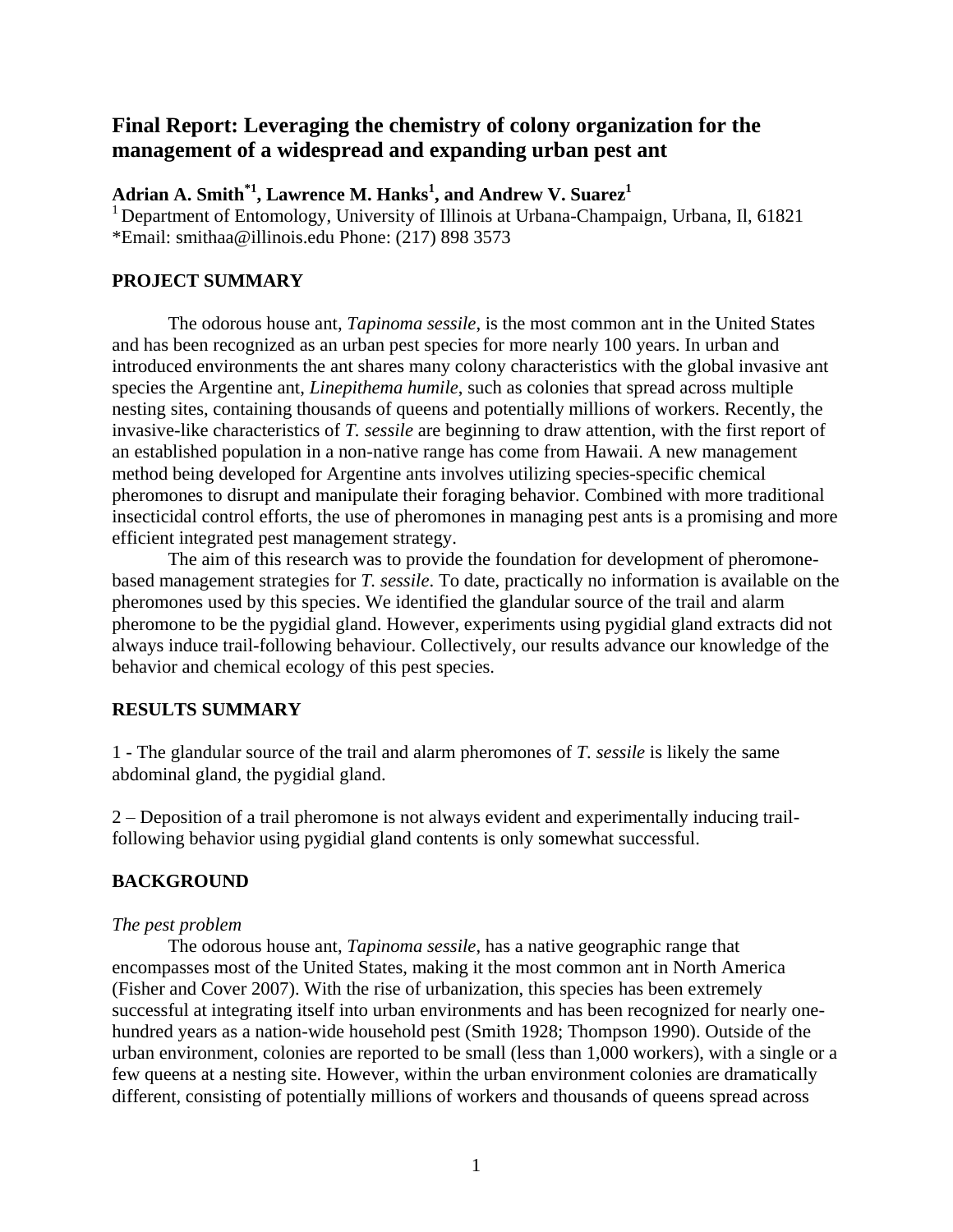# **Final Report: Leveraging the chemistry of colony organization for the management of a widespread and expanding urban pest ant**

**Adrian A. Smith\*1, Lawrence M. Hanks<sup>1</sup> , and Andrew V. Suarez<sup>1</sup>**

<sup>1</sup> Department of Entomology, University of Illinois at Urbana-Champaign, Urbana, Il, 61821 \*Email: smithaa@illinois.edu Phone: (217) 898 3573

## **PROJECT SUMMARY**

The odorous house ant, *Tapinoma sessile*, is the most common ant in the United States and has been recognized as an urban pest species for more nearly 100 years. In urban and introduced environments the ant shares many colony characteristics with the global invasive ant species the Argentine ant, *Linepithema humile*, such as colonies that spread across multiple nesting sites, containing thousands of queens and potentially millions of workers. Recently, the invasive-like characteristics of *T. sessile* are beginning to draw attention, with the first report of an established population in a non-native range has come from Hawaii. A new management method being developed for Argentine ants involves utilizing species-specific chemical pheromones to disrupt and manipulate their foraging behavior. Combined with more traditional insecticidal control efforts, the use of pheromones in managing pest ants is a promising and more efficient integrated pest management strategy.

The aim of this research was to provide the foundation for development of pheromonebased management strategies for *T. sessile*. To date, practically no information is available on the pheromones used by this species. We identified the glandular source of the trail and alarm pheromone to be the pygidial gland. However, experiments using pygidial gland extracts did not always induce trail-following behaviour. Collectively, our results advance our knowledge of the behavior and chemical ecology of this pest species.

# **RESULTS SUMMARY**

1 - The glandular source of the trail and alarm pheromones of *T. sessile* is likely the same abdominal gland, the pygidial gland.

2 – Deposition of a trail pheromone is not always evident and experimentally inducing trailfollowing behavior using pygidial gland contents is only somewhat successful.

### **BACKGROUND**

### *The pest problem*

The odorous house ant, *Tapinoma sessile*, has a native geographic range that encompasses most of the United States, making it the most common ant in North America (Fisher and Cover 2007). With the rise of urbanization, this species has been extremely successful at integrating itself into urban environments and has been recognized for nearly onehundred years as a nation-wide household pest (Smith 1928; Thompson 1990). Outside of the urban environment, colonies are reported to be small (less than 1,000 workers), with a single or a few queens at a nesting site. However, within the urban environment colonies are dramatically different, consisting of potentially millions of workers and thousands of queens spread across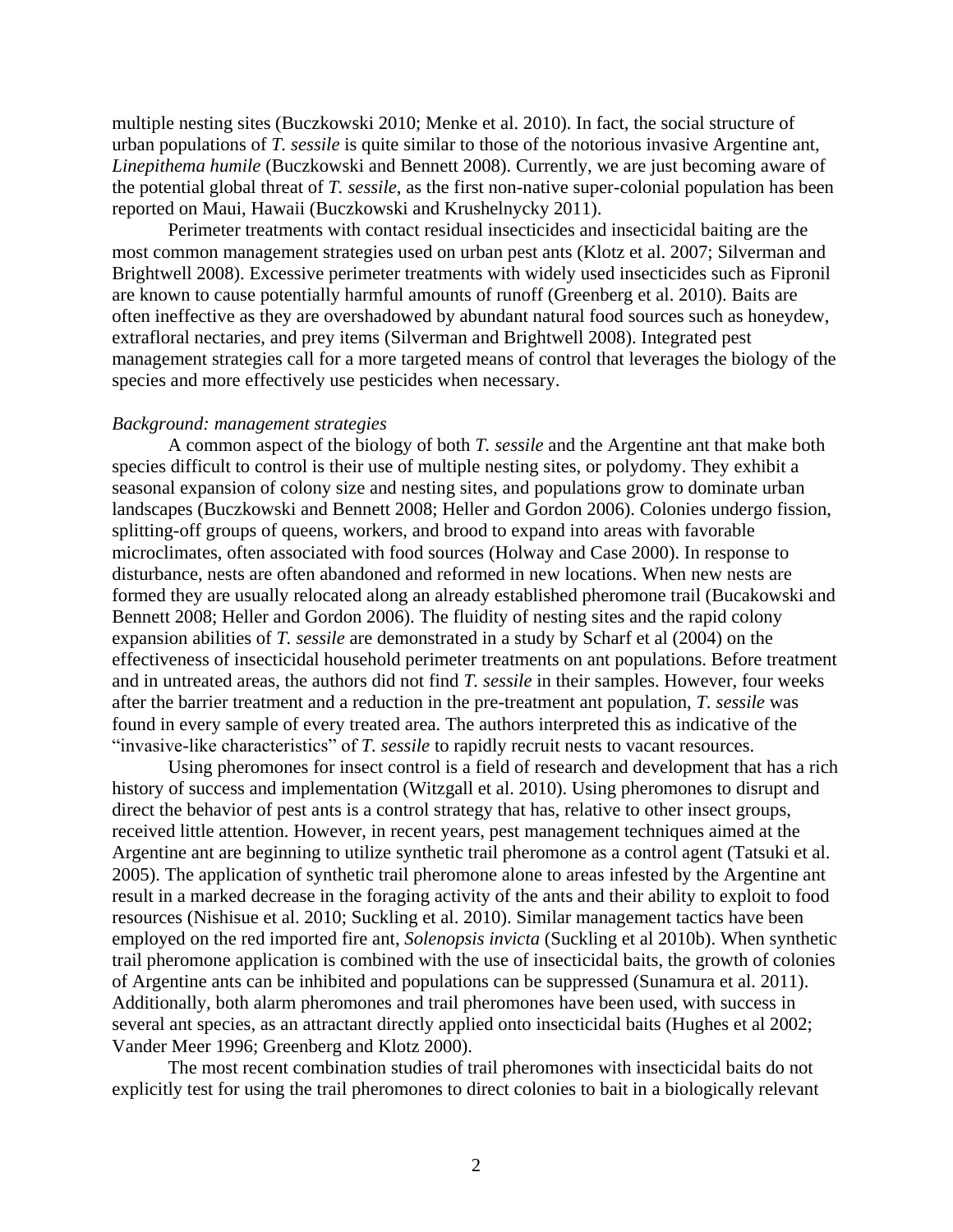multiple nesting sites (Buczkowski 2010; Menke et al. 2010). In fact, the social structure of urban populations of *T. sessile* is quite similar to those of the notorious invasive Argentine ant, *Linepithema humile* (Buczkowski and Bennett 2008). Currently, we are just becoming aware of the potential global threat of *T. sessile*, as the first non-native super-colonial population has been reported on Maui, Hawaii (Buczkowski and Krushelnycky 2011).

Perimeter treatments with contact residual insecticides and insecticidal baiting are the most common management strategies used on urban pest ants (Klotz et al. 2007; Silverman and Brightwell 2008). Excessive perimeter treatments with widely used insecticides such as Fipronil are known to cause potentially harmful amounts of runoff (Greenberg et al. 2010). Baits are often ineffective as they are overshadowed by abundant natural food sources such as honeydew, extrafloral nectaries, and prey items (Silverman and Brightwell 2008). Integrated pest management strategies call for a more targeted means of control that leverages the biology of the species and more effectively use pesticides when necessary.

#### *Background: management strategies*

A common aspect of the biology of both *T. sessile* and the Argentine ant that make both species difficult to control is their use of multiple nesting sites, or polydomy. They exhibit a seasonal expansion of colony size and nesting sites, and populations grow to dominate urban landscapes (Buczkowski and Bennett 2008; Heller and Gordon 2006). Colonies undergo fission, splitting-off groups of queens, workers, and brood to expand into areas with favorable microclimates, often associated with food sources (Holway and Case 2000). In response to disturbance, nests are often abandoned and reformed in new locations. When new nests are formed they are usually relocated along an already established pheromone trail (Bucakowski and Bennett 2008; Heller and Gordon 2006). The fluidity of nesting sites and the rapid colony expansion abilities of *T. sessile* are demonstrated in a study by Scharf et al (2004) on the effectiveness of insecticidal household perimeter treatments on ant populations. Before treatment and in untreated areas, the authors did not find *T. sessile* in their samples. However, four weeks after the barrier treatment and a reduction in the pre-treatment ant population, *T. sessile* was found in every sample of every treated area. The authors interpreted this as indicative of the "invasive-like characteristics" of *T. sessile* to rapidly recruit nests to vacant resources.

Using pheromones for insect control is a field of research and development that has a rich history of success and implementation (Witzgall et al. 2010). Using pheromones to disrupt and direct the behavior of pest ants is a control strategy that has, relative to other insect groups, received little attention. However, in recent years, pest management techniques aimed at the Argentine ant are beginning to utilize synthetic trail pheromone as a control agent (Tatsuki et al. 2005). The application of synthetic trail pheromone alone to areas infested by the Argentine ant result in a marked decrease in the foraging activity of the ants and their ability to exploit to food resources (Nishisue et al. 2010; Suckling et al. 2010). Similar management tactics have been employed on the red imported fire ant, *Solenopsis invicta* (Suckling et al 2010b). When synthetic trail pheromone application is combined with the use of insecticidal baits, the growth of colonies of Argentine ants can be inhibited and populations can be suppressed (Sunamura et al. 2011). Additionally, both alarm pheromones and trail pheromones have been used, with success in several ant species, as an attractant directly applied onto insecticidal baits (Hughes et al 2002; Vander Meer 1996; Greenberg and Klotz 2000).

The most recent combination studies of trail pheromones with insecticidal baits do not explicitly test for using the trail pheromones to direct colonies to bait in a biologically relevant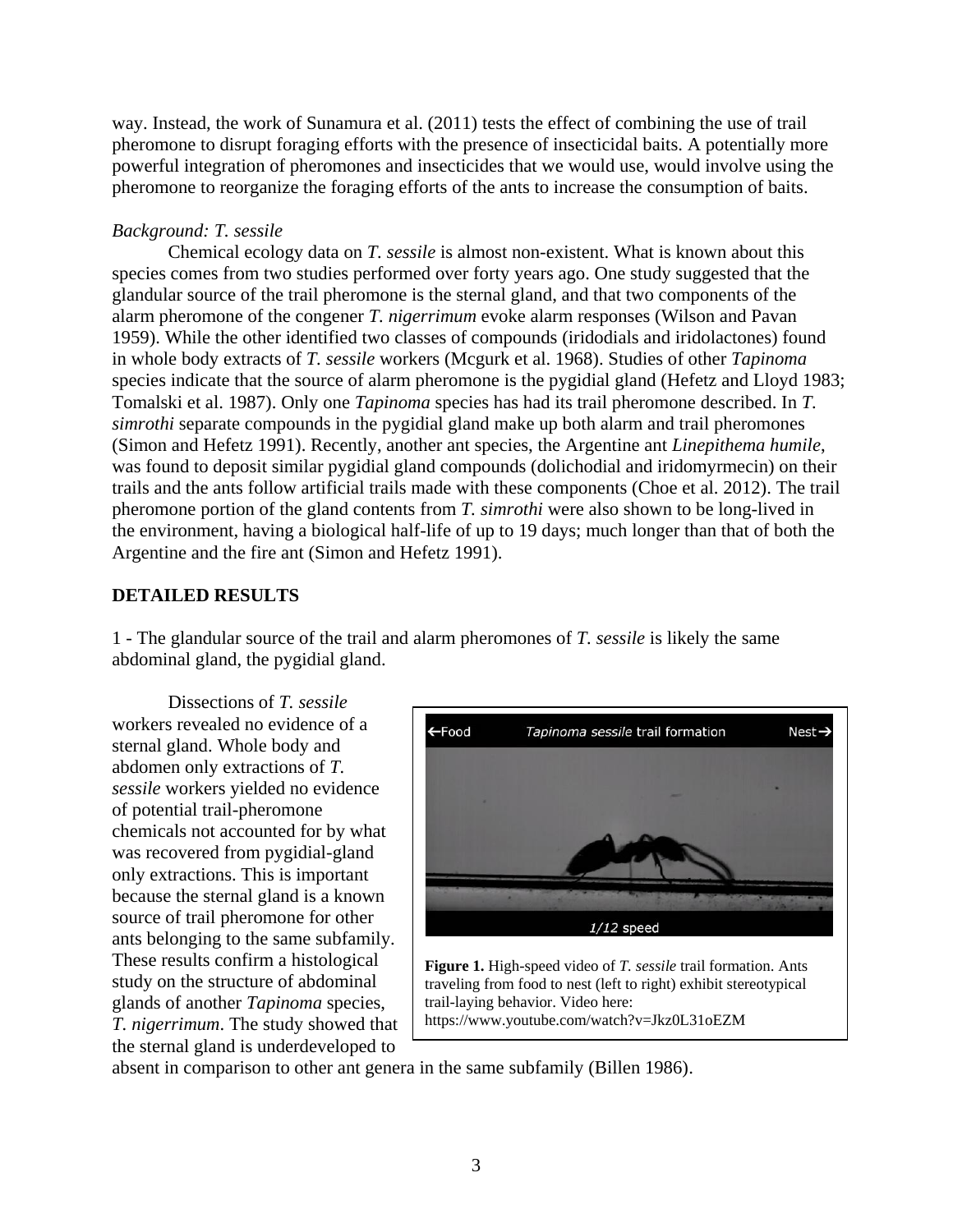way. Instead, the work of Sunamura et al. (2011) tests the effect of combining the use of trail pheromone to disrupt foraging efforts with the presence of insecticidal baits. A potentially more powerful integration of pheromones and insecticides that we would use, would involve using the pheromone to reorganize the foraging efforts of the ants to increase the consumption of baits.

# *Background: T. sessile*

Chemical ecology data on *T. sessile* is almost non-existent. What is known about this species comes from two studies performed over forty years ago. One study suggested that the glandular source of the trail pheromone is the sternal gland, and that two components of the alarm pheromone of the congener *T. nigerrimum* evoke alarm responses (Wilson and Pavan 1959). While the other identified two classes of compounds (iridodials and iridolactones) found in whole body extracts of *T. sessile* workers (Mcgurk et al. 1968). Studies of other *Tapinoma* species indicate that the source of alarm pheromone is the pygidial gland (Hefetz and Lloyd 1983; Tomalski et al. 1987). Only one *Tapinoma* species has had its trail pheromone described. In *T. simrothi* separate compounds in the pygidial gland make up both alarm and trail pheromones (Simon and Hefetz 1991). Recently, another ant species, the Argentine ant *Linepithema humile*, was found to deposit similar pygidial gland compounds (dolichodial and iridomyrmecin) on their trails and the ants follow artificial trails made with these components (Choe et al. 2012). The trail pheromone portion of the gland contents from *T. simrothi* were also shown to be long-lived in the environment, having a biological half-life of up to 19 days; much longer than that of both the Argentine and the fire ant (Simon and Hefetz 1991).

# **DETAILED RESULTS**

1 - The glandular source of the trail and alarm pheromones of *T. sessile* is likely the same abdominal gland, the pygidial gland.

Dissections of *T. sessile* workers revealed no evidence of a sternal gland. Whole body and abdomen only extractions of *T. sessile* workers yielded no evidence of potential trail-pheromone chemicals not accounted for by what was recovered from pygidial-gland only extractions. This is important because the sternal gland is a known source of trail pheromone for other ants belonging to the same subfamily. These results confirm a histological study on the structure of abdominal glands of another *Tapinoma* species, *T. nigerrimum*. The study showed that the sternal gland is underdeveloped to



absent in comparison to other ant genera in the same subfamily (Billen 1986).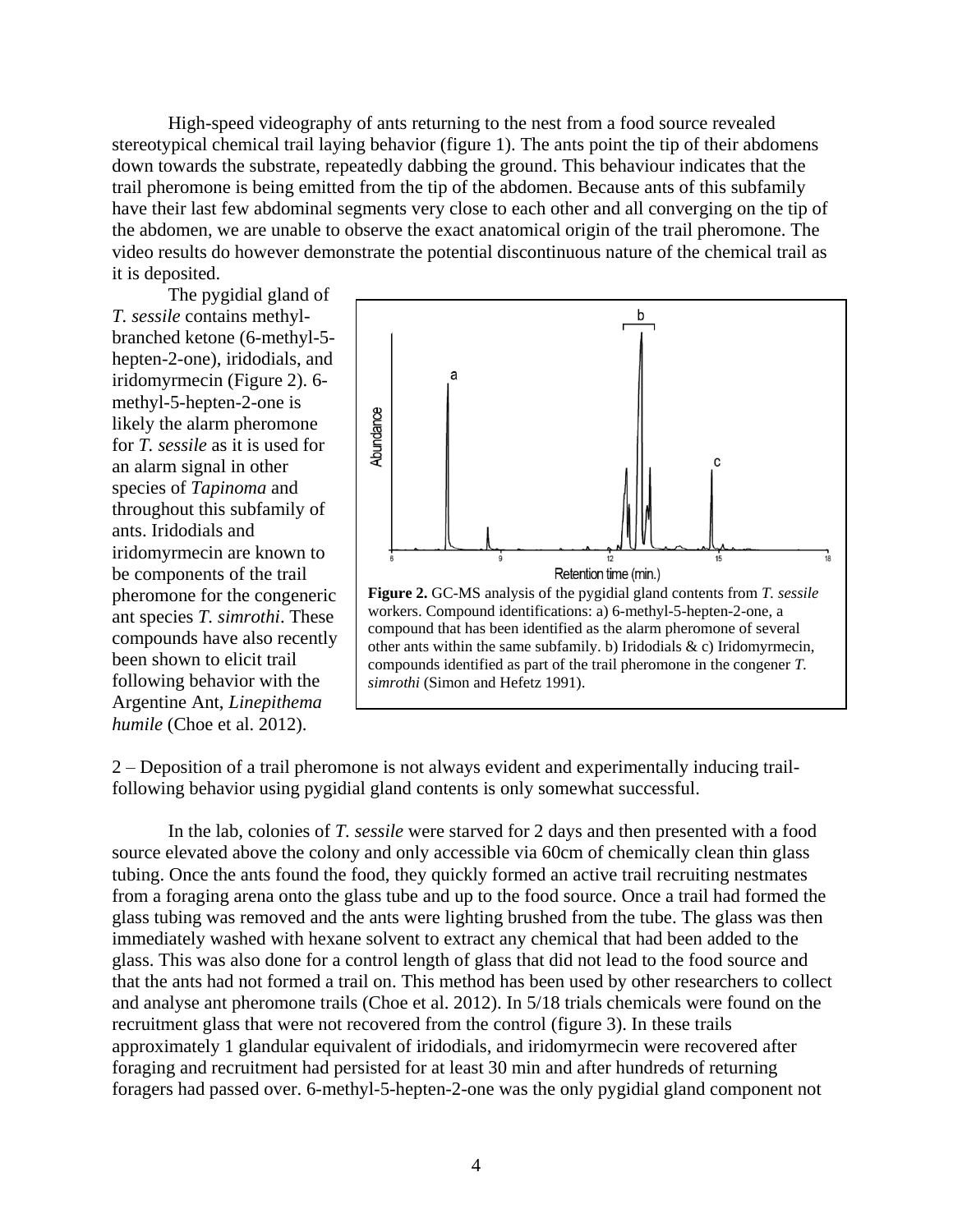High-speed videography of ants returning to the nest from a food source revealed stereotypical chemical trail laying behavior (figure 1). The ants point the tip of their abdomens down towards the substrate, repeatedly dabbing the ground. This behaviour indicates that the trail pheromone is being emitted from the tip of the abdomen. Because ants of this subfamily have their last few abdominal segments very close to each other and all converging on the tip of the abdomen, we are unable to observe the exact anatomical origin of the trail pheromone. The video results do however demonstrate the potential discontinuous nature of the chemical trail as it is deposited.

The pygidial gland of *T. sessile* contains methylbranched ketone (6-methyl-5 hepten-2-one), iridodials, and iridomyrmecin (Figure 2). 6 methyl-5-hepten-2-one is likely the alarm pheromone for *T. sessile* as it is used for an alarm signal in other species of *Tapinoma* and throughout this subfamily of ants. Iridodials and iridomyrmecin are known to be components of the trail pheromone for the congeneric ant species *T. simrothi*. These compounds have also recently been shown to elicit trail following behavior with the Argentine Ant, *Linepithema humile* (Choe et al. 2012).



2 – Deposition of a trail pheromone is not always evident and experimentally inducing trailfollowing behavior using pygidial gland contents is only somewhat successful.

In the lab, colonies of *T. sessile* were starved for 2 days and then presented with a food source elevated above the colony and only accessible via 60cm of chemically clean thin glass tubing. Once the ants found the food, they quickly formed an active trail recruiting nestmates from a foraging arena onto the glass tube and up to the food source. Once a trail had formed the glass tubing was removed and the ants were lighting brushed from the tube. The glass was then immediately washed with hexane solvent to extract any chemical that had been added to the glass. This was also done for a control length of glass that did not lead to the food source and that the ants had not formed a trail on. This method has been used by other researchers to collect and analyse ant pheromone trails (Choe et al. 2012). In 5/18 trials chemicals were found on the recruitment glass that were not recovered from the control (figure 3). In these trails approximately 1 glandular equivalent of iridodials, and iridomyrmecin were recovered after foraging and recruitment had persisted for at least 30 min and after hundreds of returning foragers had passed over. 6-methyl-5-hepten-2-one was the only pygidial gland component not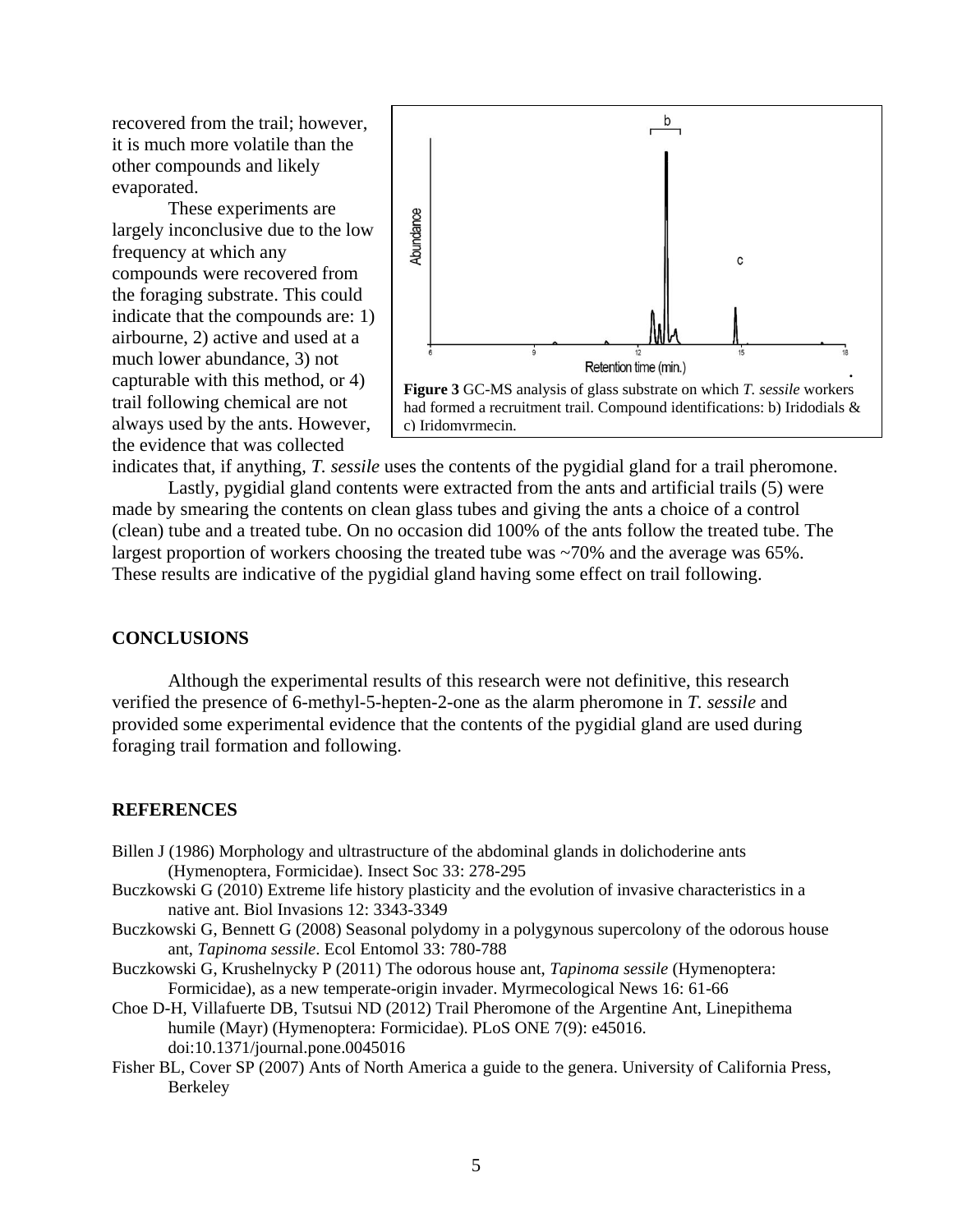recovered from the trail; however, it is much more volatile than the other compounds and likely evaporated.

These experiments are largely inconclusive due to the low frequency at which any compounds were recovered from the foraging substrate. This could indicate that the compounds are: 1) airbourne, 2) active and used at a much lower abundance, 3) not capturable with this method, or 4) trail following chemical are not always used by the ants. However, the evidence that was collected



indicates that, if anything, *T. sessile* uses the contents of the pygidial gland for a trail pheromone.

Lastly, pygidial gland contents were extracted from the ants and artificial trails (5) were made by smearing the contents on clean glass tubes and giving the ants a choice of a control (clean) tube and a treated tube. On no occasion did 100% of the ants follow the treated tube. The largest proportion of workers choosing the treated tube was ~70% and the average was 65%. These results are indicative of the pygidial gland having some effect on trail following.

### **CONCLUSIONS**

Although the experimental results of this research were not definitive, this research verified the presence of 6-methyl-5-hepten-2-one as the alarm pheromone in *T. sessile* and provided some experimental evidence that the contents of the pygidial gland are used during foraging trail formation and following.

#### **REFERENCES**

- Billen J (1986) Morphology and ultrastructure of the abdominal glands in dolichoderine ants (Hymenoptera, Formicidae). Insect Soc 33: 278-295
- Buczkowski G (2010) Extreme life history plasticity and the evolution of invasive characteristics in a native ant. Biol Invasions 12: 3343-3349
- Buczkowski G, Bennett G (2008) Seasonal polydomy in a polygynous supercolony of the odorous house ant, *Tapinoma sessile*. Ecol Entomol 33: 780-788
- Buczkowski G, Krushelnycky P (2011) The odorous house ant, *Tapinoma sessile* (Hymenoptera: Formicidae), as a new temperate-origin invader. Myrmecological News 16: 61-66
- Choe D-H, Villafuerte DB, Tsutsui ND (2012) Trail Pheromone of the Argentine Ant, Linepithema humile (Mayr) (Hymenoptera: Formicidae). PLoS ONE 7(9): e45016. doi:10.1371/journal.pone.0045016
- Fisher BL, Cover SP (2007) Ants of North America a guide to the genera. University of California Press, Berkeley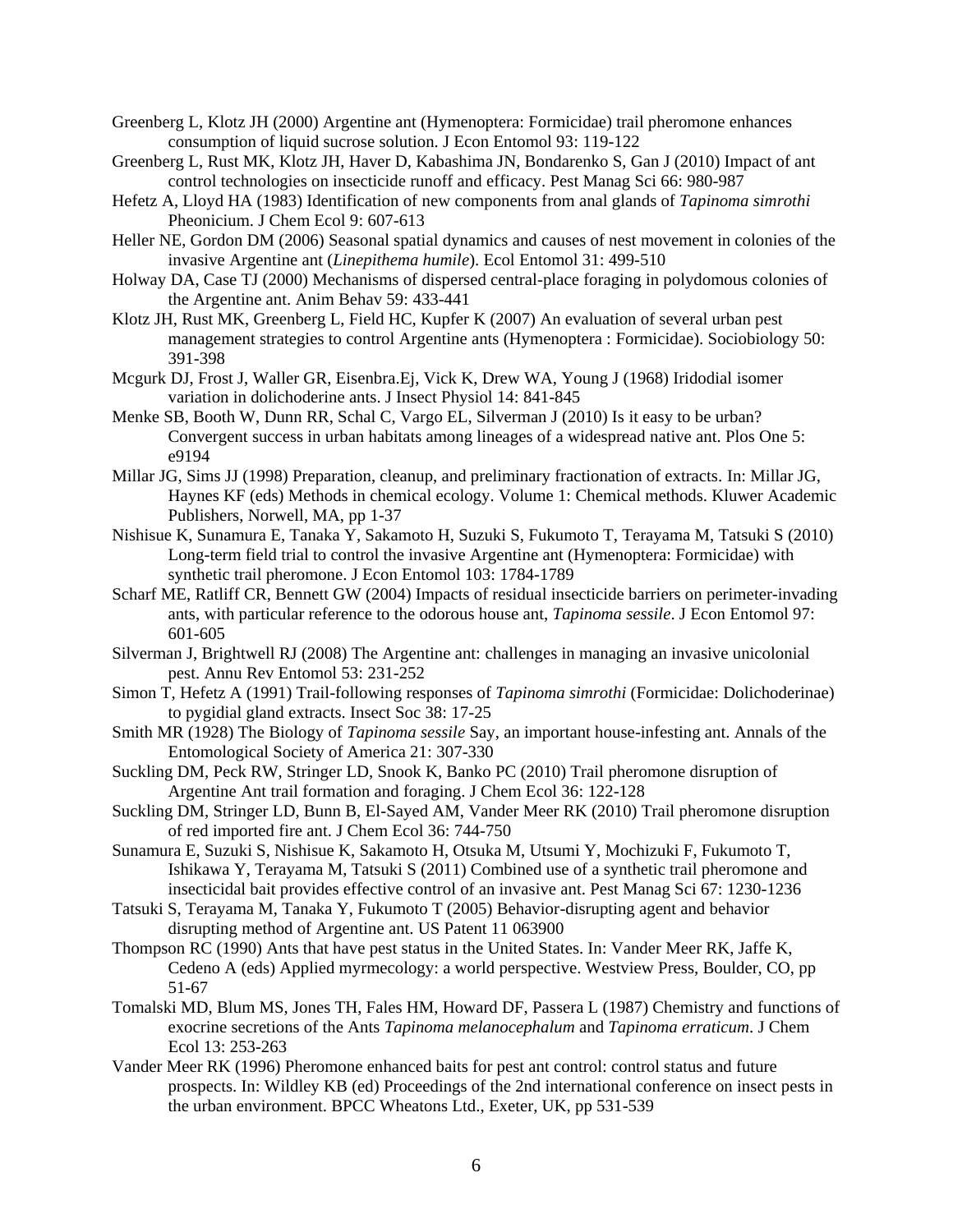Greenberg L, Klotz JH (2000) Argentine ant (Hymenoptera: Formicidae) trail pheromone enhances consumption of liquid sucrose solution. J Econ Entomol 93: 119-122

- Greenberg L, Rust MK, Klotz JH, Haver D, Kabashima JN, Bondarenko S, Gan J (2010) Impact of ant control technologies on insecticide runoff and efficacy. Pest Manag Sci 66: 980-987
- Hefetz A, Lloyd HA (1983) Identification of new components from anal glands of *Tapinoma simrothi* Pheonicium. J Chem Ecol 9: 607-613
- Heller NE, Gordon DM (2006) Seasonal spatial dynamics and causes of nest movement in colonies of the invasive Argentine ant (*Linepithema humile*). Ecol Entomol 31: 499-510
- Holway DA, Case TJ (2000) Mechanisms of dispersed central-place foraging in polydomous colonies of the Argentine ant. Anim Behav 59: 433-441
- Klotz JH, Rust MK, Greenberg L, Field HC, Kupfer K (2007) An evaluation of several urban pest management strategies to control Argentine ants (Hymenoptera : Formicidae). Sociobiology 50: 391-398
- Mcgurk DJ, Frost J, Waller GR, Eisenbra.Ej, Vick K, Drew WA, Young J (1968) Iridodial isomer variation in dolichoderine ants. J Insect Physiol 14: 841-845
- Menke SB, Booth W, Dunn RR, Schal C, Vargo EL, Silverman J (2010) Is it easy to be urban? Convergent success in urban habitats among lineages of a widespread native ant. Plos One 5: e9194
- Millar JG, Sims JJ (1998) Preparation, cleanup, and preliminary fractionation of extracts. In: Millar JG, Haynes KF (eds) Methods in chemical ecology. Volume 1: Chemical methods. Kluwer Academic Publishers, Norwell, MA, pp 1-37
- Nishisue K, Sunamura E, Tanaka Y, Sakamoto H, Suzuki S, Fukumoto T, Terayama M, Tatsuki S (2010) Long-term field trial to control the invasive Argentine ant (Hymenoptera: Formicidae) with synthetic trail pheromone. J Econ Entomol 103: 1784-1789
- Scharf ME, Ratliff CR, Bennett GW (2004) Impacts of residual insecticide barriers on perimeter-invading ants, with particular reference to the odorous house ant, *Tapinoma sessile*. J Econ Entomol 97: 601-605
- Silverman J, Brightwell RJ (2008) The Argentine ant: challenges in managing an invasive unicolonial pest. Annu Rev Entomol 53: 231-252
- Simon T, Hefetz A (1991) Trail-following responses of *Tapinoma simrothi* (Formicidae: Dolichoderinae) to pygidial gland extracts. Insect Soc 38: 17-25
- Smith MR (1928) The Biology of *Tapinoma sessile* Say, an important house-infesting ant. Annals of the Entomological Society of America 21: 307-330
- Suckling DM, Peck RW, Stringer LD, Snook K, Banko PC (2010) Trail pheromone disruption of Argentine Ant trail formation and foraging. J Chem Ecol 36: 122-128
- Suckling DM, Stringer LD, Bunn B, El-Sayed AM, Vander Meer RK (2010) Trail pheromone disruption of red imported fire ant. J Chem Ecol 36: 744-750
- Sunamura E, Suzuki S, Nishisue K, Sakamoto H, Otsuka M, Utsumi Y, Mochizuki F, Fukumoto T, Ishikawa Y, Terayama M, Tatsuki S (2011) Combined use of a synthetic trail pheromone and insecticidal bait provides effective control of an invasive ant. Pest Manag Sci 67: 1230-1236
- Tatsuki S, Terayama M, Tanaka Y, Fukumoto T (2005) Behavior-disrupting agent and behavior disrupting method of Argentine ant. US Patent 11 063900
- Thompson RC (1990) Ants that have pest status in the United States. In: Vander Meer RK, Jaffe K, Cedeno A (eds) Applied myrmecology: a world perspective. Westview Press, Boulder, CO, pp 51-67
- Tomalski MD, Blum MS, Jones TH, Fales HM, Howard DF, Passera L (1987) Chemistry and functions of exocrine secretions of the Ants *Tapinoma melanocephalum* and *Tapinoma erraticum*. J Chem Ecol 13: 253-263
- Vander Meer RK (1996) Pheromone enhanced baits for pest ant control: control status and future prospects. In: Wildley KB (ed) Proceedings of the 2nd international conference on insect pests in the urban environment. BPCC Wheatons Ltd., Exeter, UK, pp 531-539